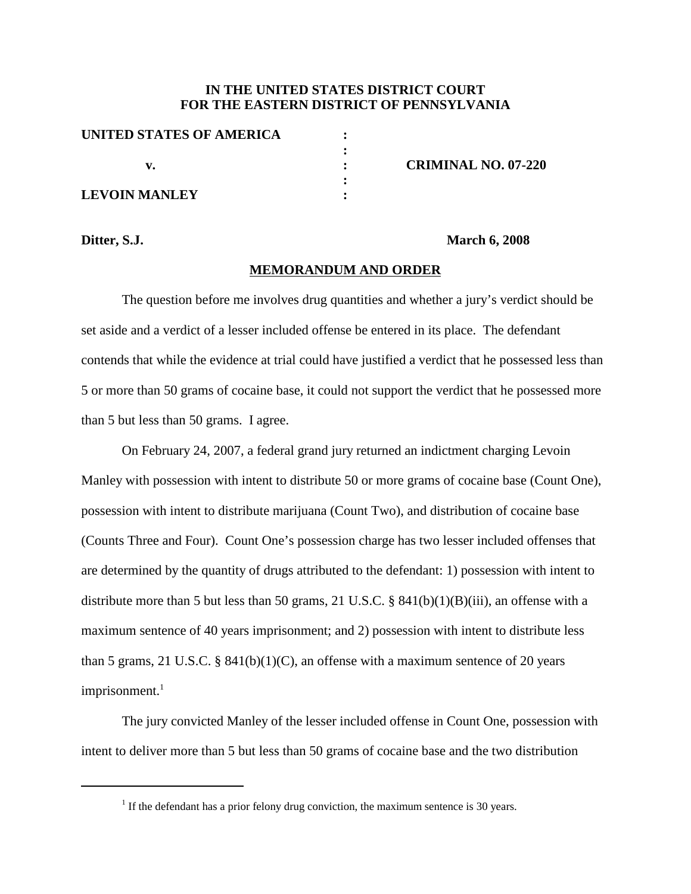## **IN THE UNITED STATES DISTRICT COURT FOR THE EASTERN DISTRICT OF PENNSYLVANIA**

| UNITED STATES OF AMERICA |  |
|--------------------------|--|
|                          |  |
| v.                       |  |
|                          |  |
| <b>LEVOIN MANLEY</b>     |  |

**v. : CRIMINAL NO. 07-220**

#### **Ditter, S.J. March 6, 2008**

### **MEMORANDUM AND ORDER**

The question before me involves drug quantities and whether a jury's verdict should be set aside and a verdict of a lesser included offense be entered in its place. The defendant contends that while the evidence at trial could have justified a verdict that he possessed less than 5 or more than 50 grams of cocaine base, it could not support the verdict that he possessed more than 5 but less than 50 grams. I agree.

On February 24, 2007, a federal grand jury returned an indictment charging Levoin Manley with possession with intent to distribute 50 or more grams of cocaine base (Count One), possession with intent to distribute marijuana (Count Two), and distribution of cocaine base (Counts Three and Four). Count One's possession charge has two lesser included offenses that are determined by the quantity of drugs attributed to the defendant: 1) possession with intent to distribute more than 5 but less than 50 grams, 21 U.S.C. § 841(b)(1)(B)(iii), an offense with a maximum sentence of 40 years imprisonment; and 2) possession with intent to distribute less than 5 grams, 21 U.S.C. § 841(b)(1)(C), an offense with a maximum sentence of 20 years imprisonment. 1

The jury convicted Manley of the lesser included offense in Count One, possession with intent to deliver more than 5 but less than 50 grams of cocaine base and the two distribution

 $1$  If the defendant has a prior felony drug conviction, the maximum sentence is 30 years.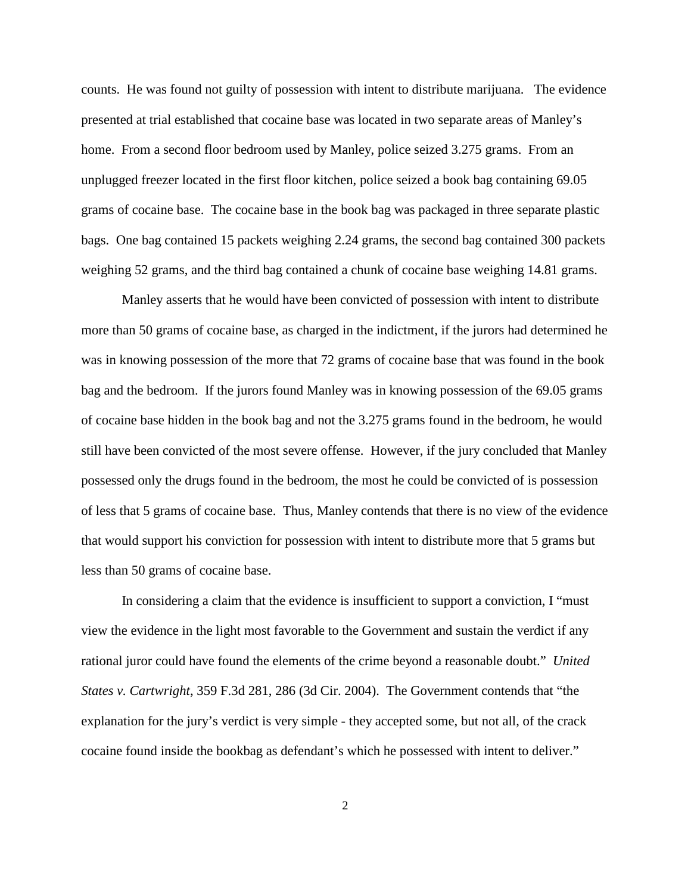counts. He was found not guilty of possession with intent to distribute marijuana. The evidence presented at trial established that cocaine base was located in two separate areas of Manley's home. From a second floor bedroom used by Manley, police seized 3.275 grams. From an unplugged freezer located in the first floor kitchen, police seized a book bag containing 69.05 grams of cocaine base. The cocaine base in the book bag was packaged in three separate plastic bags. One bag contained 15 packets weighing 2.24 grams, the second bag contained 300 packets weighing 52 grams, and the third bag contained a chunk of cocaine base weighing 14.81 grams.

Manley asserts that he would have been convicted of possession with intent to distribute more than 50 grams of cocaine base, as charged in the indictment, if the jurors had determined he was in knowing possession of the more that 72 grams of cocaine base that was found in the book bag and the bedroom. If the jurors found Manley was in knowing possession of the 69.05 grams of cocaine base hidden in the book bag and not the 3.275 grams found in the bedroom, he would still have been convicted of the most severe offense. However, if the jury concluded that Manley possessed only the drugs found in the bedroom, the most he could be convicted of is possession of less that 5 grams of cocaine base. Thus, Manley contends that there is no view of the evidence that would support his conviction for possession with intent to distribute more that 5 grams but less than 50 grams of cocaine base.

In considering a claim that the evidence is insufficient to support a conviction, I "must view the evidence in the light most favorable to the Government and sustain the verdict if any rational juror could have found the elements of the crime beyond a reasonable doubt." *United States v. Cartwright*, 359 F.3d 281, 286 (3d Cir. 2004). The Government contends that "the explanation for the jury's verdict is very simple - they accepted some, but not all, of the crack cocaine found inside the bookbag as defendant's which he possessed with intent to deliver."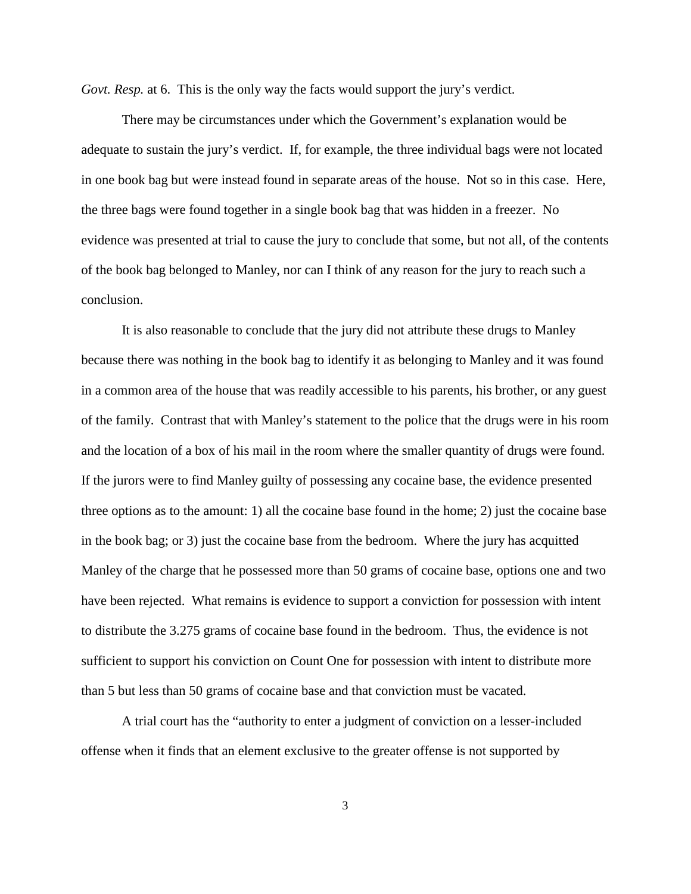*Govt. Resp.* at 6. This is the only way the facts would support the jury's verdict.

There may be circumstances under which the Government's explanation would be adequate to sustain the jury's verdict. If, for example, the three individual bags were not located in one book bag but were instead found in separate areas of the house. Not so in this case. Here, the three bags were found together in a single book bag that was hidden in a freezer. No evidence was presented at trial to cause the jury to conclude that some, but not all, of the contents of the book bag belonged to Manley, nor can I think of any reason for the jury to reach such a conclusion.

It is also reasonable to conclude that the jury did not attribute these drugs to Manley because there was nothing in the book bag to identify it as belonging to Manley and it was found in a common area of the house that was readily accessible to his parents, his brother, or any guest of the family. Contrast that with Manley's statement to the police that the drugs were in his room and the location of a box of his mail in the room where the smaller quantity of drugs were found. If the jurors were to find Manley guilty of possessing any cocaine base, the evidence presented three options as to the amount: 1) all the cocaine base found in the home; 2) just the cocaine base in the book bag; or 3) just the cocaine base from the bedroom. Where the jury has acquitted Manley of the charge that he possessed more than 50 grams of cocaine base, options one and two have been rejected. What remains is evidence to support a conviction for possession with intent to distribute the 3.275 grams of cocaine base found in the bedroom. Thus, the evidence is not sufficient to support his conviction on Count One for possession with intent to distribute more than 5 but less than 50 grams of cocaine base and that conviction must be vacated.

A trial court has the "authority to enter a judgment of conviction on a lesser-included offense when it finds that an element exclusive to the greater offense is not supported by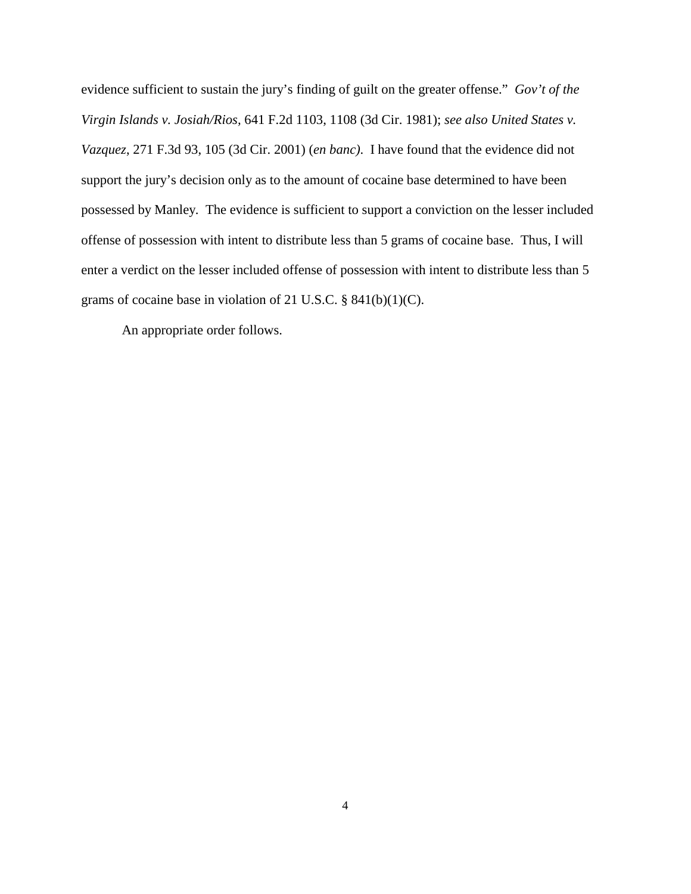evidence sufficient to sustain the jury's finding of guilt on the greater offense." *Gov't of the Virgin Islands v. Josiah/Rios,* 641 F.2d 1103, 1108 (3d Cir. 1981); *see also United States v. Vazquez*, 271 F.3d 93, 105 (3d Cir. 2001) (*en banc)*. I have found that the evidence did not support the jury's decision only as to the amount of cocaine base determined to have been possessed by Manley. The evidence is sufficient to support a conviction on the lesser included offense of possession with intent to distribute less than 5 grams of cocaine base. Thus, I will enter a verdict on the lesser included offense of possession with intent to distribute less than 5 grams of cocaine base in violation of 21 U.S.C. § 841(b)(1)(C).

An appropriate order follows.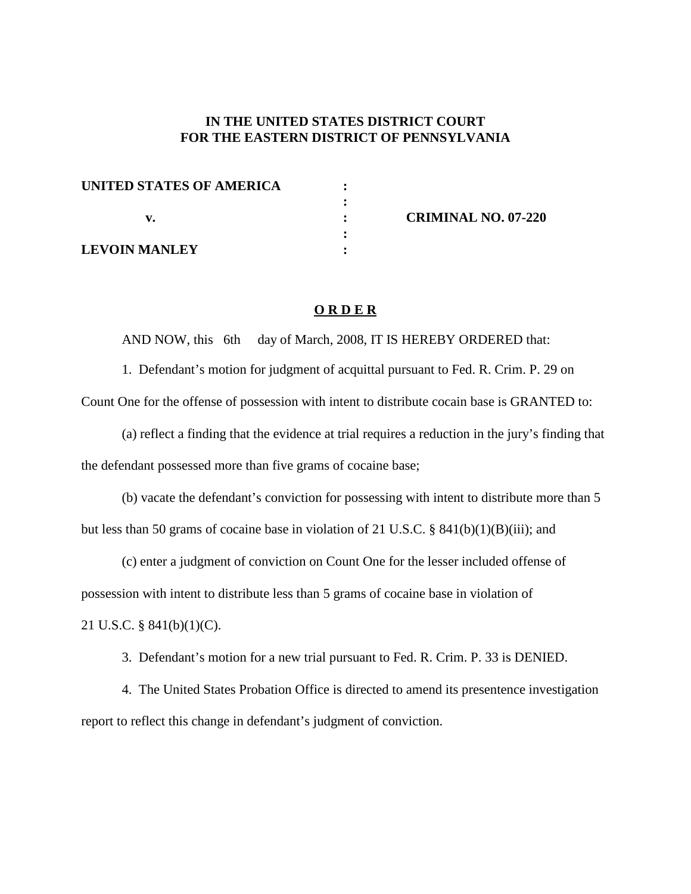# **IN THE UNITED STATES DISTRICT COURT FOR THE EASTERN DISTRICT OF PENNSYLVANIA**

| UNITED STATES OF AMERICA |  |
|--------------------------|--|
|                          |  |
|                          |  |
|                          |  |
| <b>LEVOIN MANLEY</b>     |  |

**v. : CRIMINAL NO. 07-220**

### **O R D E R**

AND NOW, this 6th day of March, 2008, IT IS HEREBY ORDERED that:

1. Defendant's motion for judgment of acquittal pursuant to Fed. R. Crim. P. 29 on Count One for the offense of possession with intent to distribute cocain base is GRANTED to:

(a) reflect a finding that the evidence at trial requires a reduction in the jury's finding that the defendant possessed more than five grams of cocaine base;

(b) vacate the defendant's conviction for possessing with intent to distribute more than 5 but less than 50 grams of cocaine base in violation of 21 U.S.C. § 841(b)(1)(B)(iii); and

(c) enter a judgment of conviction on Count One for the lesser included offense of possession with intent to distribute less than 5 grams of cocaine base in violation of 21 U.S.C. § 841(b)(1)(C).

3. Defendant's motion for a new trial pursuant to Fed. R. Crim. P. 33 is DENIED.

4. The United States Probation Office is directed to amend its presentence investigation report to reflect this change in defendant's judgment of conviction.